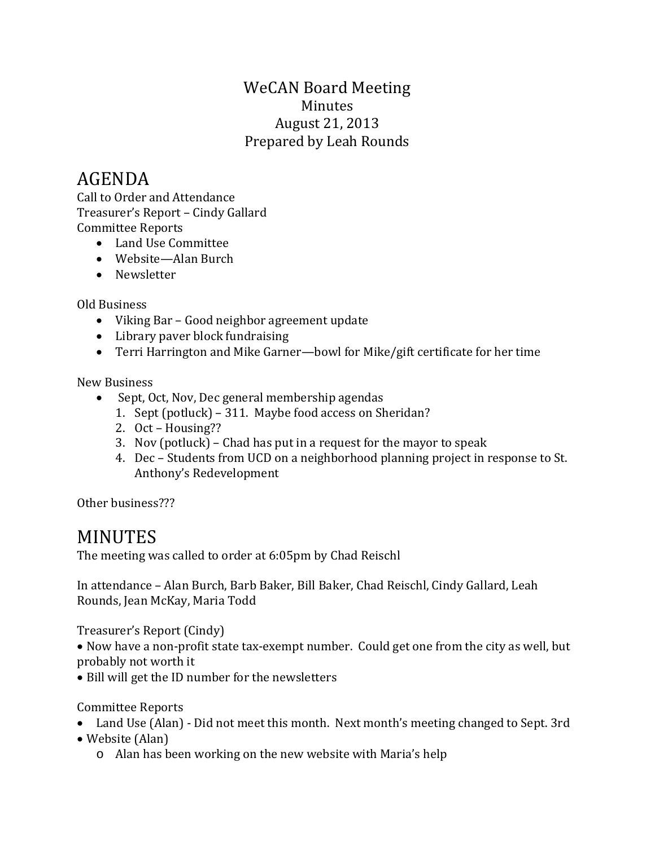## WeCAN Board Meeting Minutes August 21, 2013 Prepared by Leah Rounds

## AGENDA

Call to Order and Attendance Treasurer's Report – Cindy Gallard Committee Reports

- Land Use Committee
- Website—Alan Burch
- Newsletter

Old Business

- Viking Bar Good neighbor agreement update
- Library paver block fundraising
- Terri Harrington and Mike Garner—bowl for Mike/gift certificate for her time

New Business

- Sept, Oct, Nov, Dec general membership agendas
	- 1. Sept (potluck) 311. Maybe food access on Sheridan?
	- 2. Oct Housing??
	- 3. Nov (potluck) Chad has put in a request for the mayor to speak
	- 4. Dec Students from UCD on a neighborhood planning project in response to St. Anthony's Redevelopment

Other business???

## MINUTES

The meeting was called to order at 6:05pm by Chad Reischl

In attendance – Alan Burch, Barb Baker, Bill Baker, Chad Reischl, Cindy Gallard, Leah Rounds, Jean McKay, Maria Todd

Treasurer's Report (Cindy)

• Now have a non-profit state tax-exempt number. Could get one from the city as well, but probably not worth it

• Bill will get the ID number for the newsletters

Committee Reports

- Land Use (Alan) Did not meet this month. Next month's meeting changed to Sept. 3rd
- Website (Alan)
	- o Alan has been working on the new website with Maria's help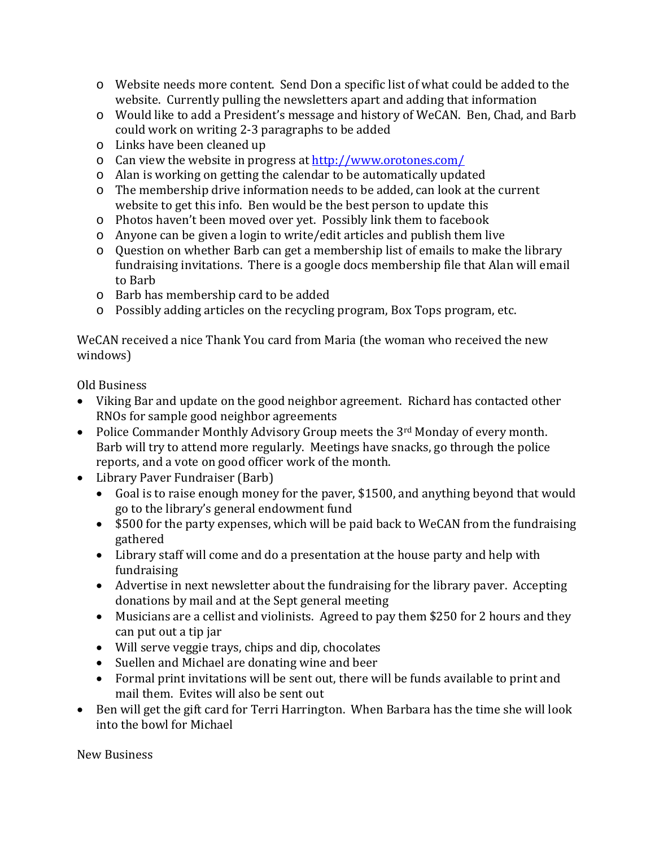- o Website needs more content. Send Don a specific list of what could be added to the website. Currently pulling the newsletters apart and adding that information
- o Would like to add a President's message and history of WeCAN. Ben, Chad, and Barb could work on writing 2-3 paragraphs to be added
- o Links have been cleaned up
- o Can view the website in progress at<http://www.orotones.com/>
- o Alan is working on getting the calendar to be automatically updated
- o The membership drive information needs to be added, can look at the current website to get this info. Ben would be the best person to update this
- o Photos haven't been moved over yet. Possibly link them to facebook
- o Anyone can be given a login to write/edit articles and publish them live
- o Question on whether Barb can get a membership list of emails to make the library fundraising invitations. There is a google docs membership file that Alan will email to Barb
- o Barb has membership card to be added
- o Possibly adding articles on the recycling program, Box Tops program, etc.

WeCAN received a nice Thank You card from Maria (the woman who received the new windows)

Old Business

- Viking Bar and update on the good neighbor agreement. Richard has contacted other RNOs for sample good neighbor agreements
- Police Commander Monthly Advisory Group meets the 3<sup>rd</sup> Monday of every month. Barb will try to attend more regularly. Meetings have snacks, go through the police reports, and a vote on good officer work of the month.
- Library Paver Fundraiser (Barb)<br>• Goal is to raise enough money
	- Goal is to raise enough money for the paver, \$1500, and anything beyond that would go to the library's general endowment fund
	- \$500 for the party expenses, which will be paid back to WeCAN from the fundraising gathered
	- Library staff will come and do a presentation at the house party and help with fundraising
	- Advertise in next newsletter about the fundraising for the library paver. Accepting donations by mail and at the Sept general meeting
	- Musicians are a cellist and violinists. Agreed to pay them \$250 for 2 hours and they can put out a tip jar
	- Will serve veggie trays, chips and dip, chocolates
	- Suellen and Michael are donating wine and beer
	- Formal print invitations will be sent out, there will be funds available to print and mail them. Evites will also be sent out
- Ben will get the gift card for Terri Harrington. When Barbara has the time she will look into the bowl for Michael

New Business